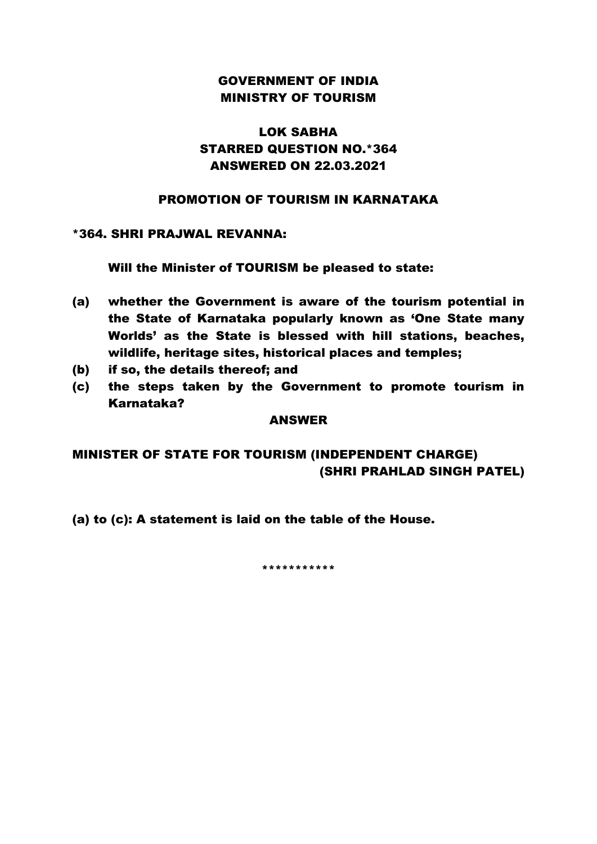# GOVERNMENT OF INDIA MINISTRY OF TOURISM

# LOK SABHA STARRED QUESTION NO.\*364 ANSWERED ON 22.03.2021

# PROMOTION OF TOURISM IN KARNATAKA

## \*364. SHRI PRAJWAL REVANNA:

Will the Minister of TOURISM be pleased to state:

- (a) whether the Government is aware of the tourism potential in the State of Karnataka popularly known as 'One State many Worlds' as the State is blessed with hill stations, beaches, wildlife, heritage sites, historical places and temples;
- (b) if so, the details thereof; and
- (c) the steps taken by the Government to promote tourism in Karnataka?

#### ANSWER

# MINISTER OF STATE FOR TOURISM (INDEPENDENT CHARGE) (SHRI PRAHLAD SINGH PATEL)

(a) to (c): A statement is laid on the table of the House.

\*\*\*\*\*\*\*\*\*\*\*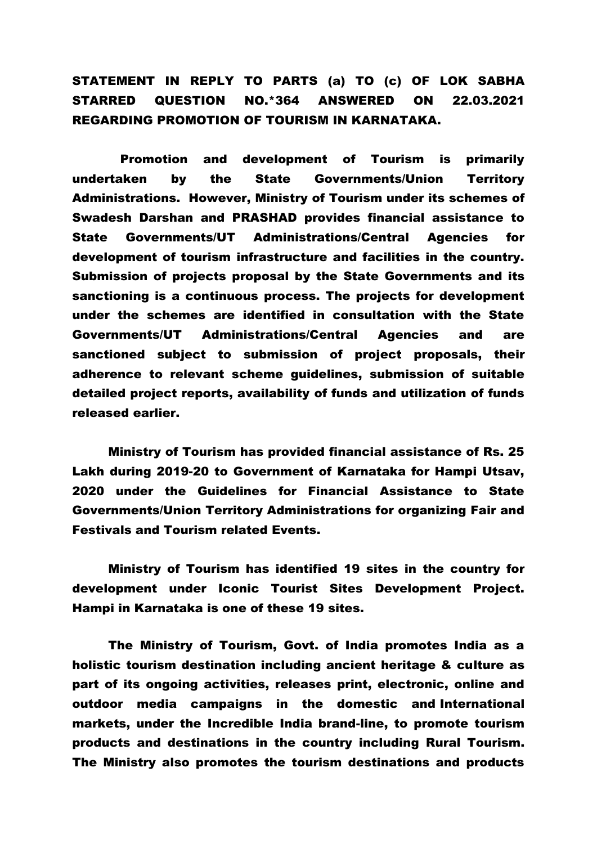# STATEMENT IN REPLY TO PARTS (a) TO (c) OF LOK SABHA STARRED QUESTION NO.\*364 ANSWERED ON 22.03.2021 REGARDING PROMOTION OF TOURISM IN KARNATAKA.

 Promotion and development of Tourism is primarily undertaken by the State Governments/Union Territory Administrations. However, Ministry of Tourism under its schemes of Swadesh Darshan and PRASHAD provides financial assistance to State Governments/UT Administrations/Central Agencies for development of tourism infrastructure and facilities in the country. Submission of projects proposal by the State Governments and its sanctioning is a continuous process. The projects for development under the schemes are identified in consultation with the State Governments/UT Administrations/Central Agencies and are sanctioned subject to submission of project proposals, their adherence to relevant scheme guidelines, submission of suitable detailed project reports, availability of funds and utilization of funds released earlier.

Ministry of Tourism has provided financial assistance of Rs. 25 Lakh during 2019-20 to Government of Karnataka for Hampi Utsav, 2020 under the Guidelines for Financial Assistance to State Governments/Union Territory Administrations for organizing Fair and Festivals and Tourism related Events.

Ministry of Tourism has identified 19 sites in the country for development under Iconic Tourist Sites Development Project. Hampi in Karnataka is one of these 19 sites.

The Ministry of Tourism, Govt. of India promotes India as a holistic tourism destination including ancient heritage & culture as part of its ongoing activities, releases print, electronic, online and outdoor media campaigns in the domestic and International markets, under the Incredible India brand-line, to promote tourism products and destinations in the country including Rural Tourism. The Ministry also promotes the tourism destinations and products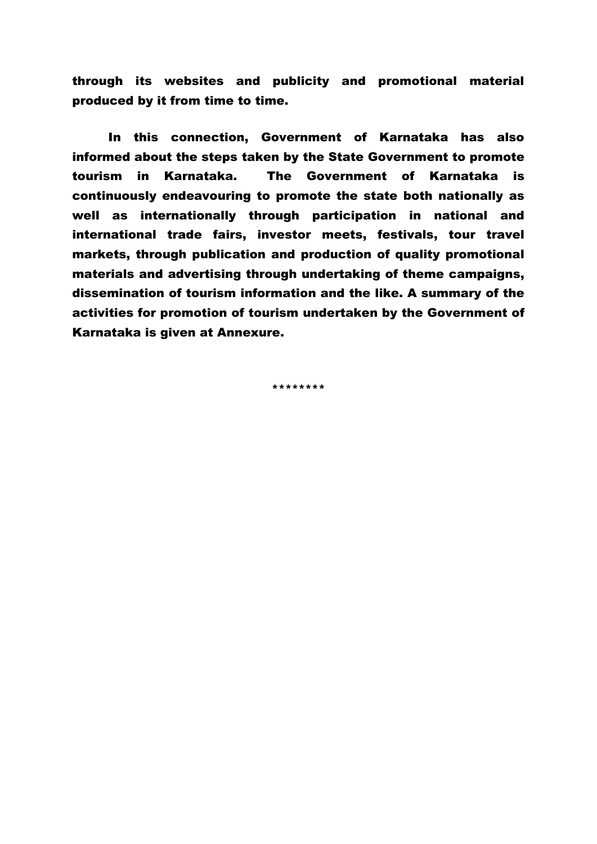through its websites and publicity and promotional material produced by it from time to time.

In this connection, Government of Karnataka has also informed about the steps taken by the State Government to promote tourism in Karnataka. The Government of Karnataka is continuously endeavouring to promote the state both nationally as well as internationally through participation in national and international trade fairs, investor meets, festivals, tour travel markets, through publication and production of quality promotional materials and advertising through undertaking of theme campaigns, dissemination of tourism information and the like. A summary of the activities for promotion of tourism undertaken by the Government of Karnataka is given at Annexure.

\*\*\*\*\*\*\*\*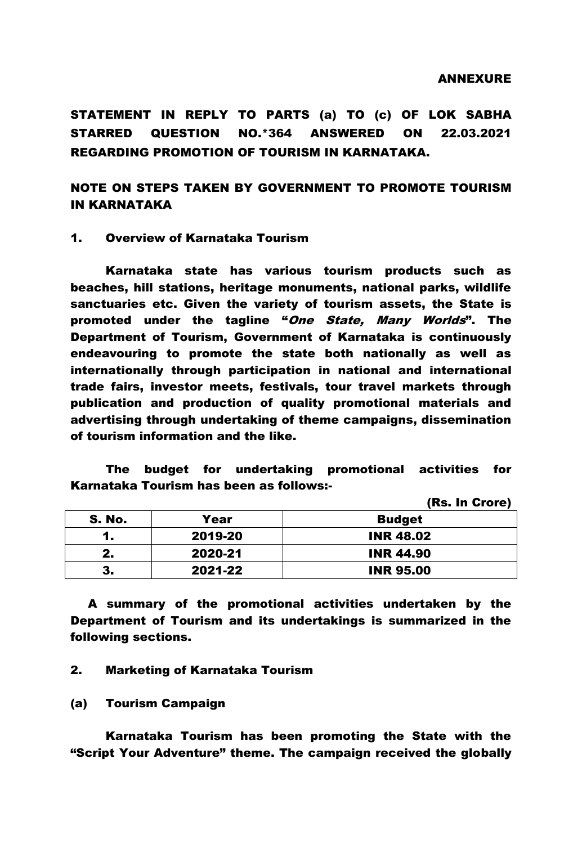#### ANNEXURE

STATEMENT IN REPLY TO PARTS (a) TO (c) OF LOK SABHA STARRED QUESTION NO.\*364 ANSWERED ON 22.03.2021 REGARDING PROMOTION OF TOURISM IN KARNATAKA.

NOTE ON STEPS TAKEN BY GOVERNMENT TO PROMOTE TOURISM IN KARNATAKA

#### 1. Overview of Karnataka Tourism

Karnataka state has various tourism products such as beaches, hill stations, heritage monuments, national parks, wildlife sanctuaries etc. Given the variety of tourism assets, the State is promoted under the tagline "One State, Many Worlds". The Department of Tourism, Government of Karnataka is continuously endeavouring to promote the state both nationally as well as internationally through participation in national and international trade fairs, investor meets, festivals, tour travel markets through publication and production of quality promotional materials and advertising through undertaking of theme campaigns, dissemination of tourism information and the like.

The budget for undertaking promotional activities for Karnataka Tourism has been as follows:-

(Rs. In Crore)

| <b>S. No.</b> | Year    | <b>Budget</b>    |
|---------------|---------|------------------|
|               | 2019-20 | <b>INR 48.02</b> |
| 2.            | 2020-21 | <b>INR 44.90</b> |
| 3.            | 2021-22 | <b>INR 95.00</b> |

A summary of the promotional activities undertaken by the Department of Tourism and its undertakings is summarized in the following sections.

#### 2. Marketing of Karnataka Tourism

(a) Tourism Campaign

Karnataka Tourism has been promoting the State with the "Script Your Adventure" theme. The campaign received the globally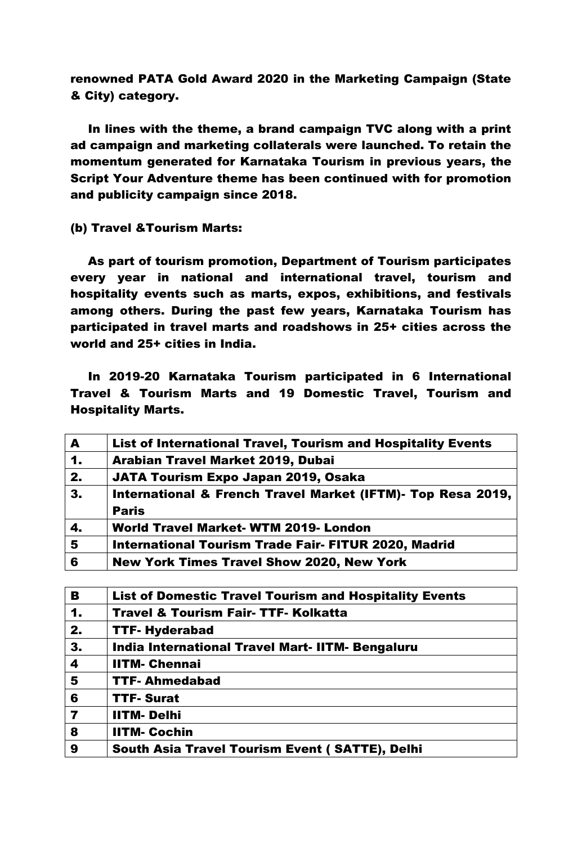renowned PATA Gold Award 2020 in the Marketing Campaign (State & City) category.

In lines with the theme, a brand campaign TVC along with a print ad campaign and marketing collaterals were launched. To retain the momentum generated for Karnataka Tourism in previous years, the Script Your Adventure theme has been continued with for promotion and publicity campaign since 2018.

(b) Travel &Tourism Marts:

As part of tourism promotion, Department of Tourism participates every year in national and international travel, tourism and hospitality events such as marts, expos, exhibitions, and festivals among others. During the past few years, Karnataka Tourism has participated in travel marts and roadshows in 25+ cities across the world and 25+ cities in India.

In 2019-20 Karnataka Tourism participated in 6 International Travel & Tourism Marts and 19 Domestic Travel, Tourism and Hospitality Marts.

| A              | List of International Travel, Tourism and Hospitality Events |
|----------------|--------------------------------------------------------------|
| $\mathbf{1}$   | Arabian Travel Market 2019, Dubai                            |
| 2.             | JATA Tourism Expo Japan 2019, Osaka                          |
| 3.             | International & French Travel Market (IFTM)- Top Resa 2019,  |
|                | <b>Paris</b>                                                 |
| 4.             | <b>World Travel Market- WTM 2019- London</b>                 |
| $5\phantom{1}$ | <b>International Tourism Trade Fair- FITUR 2020, Madrid</b>  |
| 6              | <b>New York Times Travel Show 2020, New York</b>             |
|                |                                                              |

| B              | <b>List of Domestic Travel Tourism and Hospitality Events</b> |
|----------------|---------------------------------------------------------------|
| $\mathbf 1$    | <b>Travel &amp; Tourism Fair- TTF- Kolkatta</b>               |
| 2.             | <b>TTF- Hyderabad</b>                                         |
| 3.             | India International Travel Mart-IITM- Bengaluru               |
| 4              | <b>IITM- Chennai</b>                                          |
| 5              | <b>TTF-Ahmedabad</b>                                          |
| 6              | <b>TTF-Surat</b>                                              |
| $\overline{7}$ | <b>IITM-Delhi</b>                                             |
| 8              | <b>IITM- Cochin</b>                                           |
| 9              | South Asia Travel Tourism Event (SATTE), Delhi                |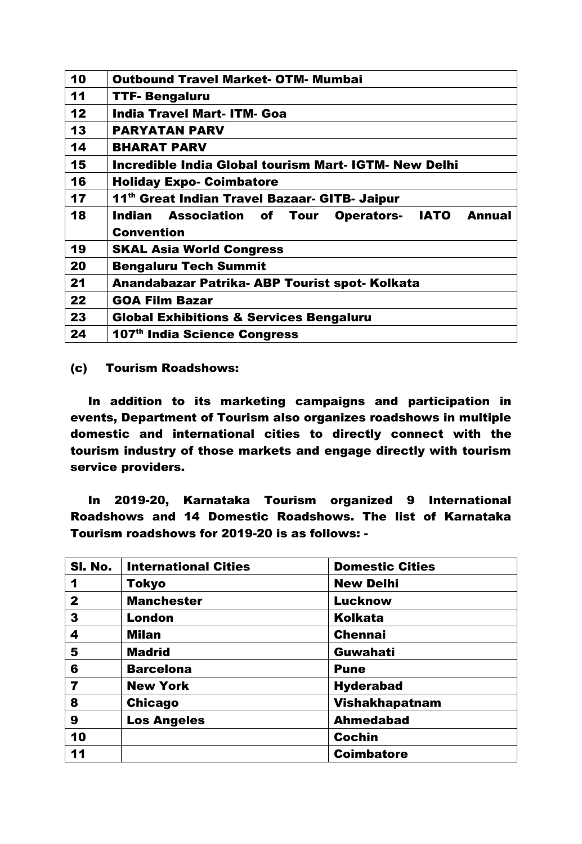| 10 | <b>Outbound Travel Market- OTM- Mumbai</b>                     |
|----|----------------------------------------------------------------|
| 11 | <b>TTF- Bengaluru</b>                                          |
| 12 | <b>India Travel Mart- ITM- Goa</b>                             |
| 13 | <b>PARYATAN PARV</b>                                           |
| 14 | <b>BHARAT PARV</b>                                             |
| 15 | Incredible India Global tourism Mart- IGTM- New Delhi          |
| 16 | <b>Holiday Expo- Coimbatore</b>                                |
| 17 | 11th Great Indian Travel Bazaar- GITB- Jaipur                  |
|    |                                                                |
| 18 | <b>Operators- IATO</b><br>Indian Association of Tour<br>Annual |
|    | <b>Convention</b>                                              |
| 19 | <b>SKAL Asia World Congress</b>                                |
| 20 | <b>Bengaluru Tech Summit</b>                                   |
| 21 | Anandabazar Patrika- ABP Tourist spot- Kolkata                 |
| 22 | <b>GOA Film Bazar</b>                                          |
| 23 | <b>Global Exhibitions &amp; Services Bengaluru</b>             |

(c) Tourism Roadshows:

In addition to its marketing campaigns and participation in events, Department of Tourism also organizes roadshows in multiple domestic and international cities to directly connect with the tourism industry of those markets and engage directly with tourism service providers.

In 2019-20, Karnataka Tourism organized 9 International Roadshows and 14 Domestic Roadshows. The list of Karnataka Tourism roadshows for 2019-20 is as follows: -

| SI. No.      | <b>International Cities</b> | <b>Domestic Cities</b> |
|--------------|-----------------------------|------------------------|
| 1            | <b>Tokyo</b>                | <b>New Delhi</b>       |
| $\mathbf{2}$ | <b>Manchester</b>           | <b>Lucknow</b>         |
| 3            | <b>London</b>               | <b>Kolkata</b>         |
| 4            | <b>Milan</b>                | <b>Chennai</b>         |
| 5            | <b>Madrid</b>               | Guwahati               |
| 6            | <b>Barcelona</b>            | <b>Pune</b>            |
| 7            | <b>New York</b>             | <b>Hyderabad</b>       |
| 8            | <b>Chicago</b>              | Vishakhapatnam         |
| 9            | <b>Los Angeles</b>          | <b>Ahmedabad</b>       |
| 10           |                             | <b>Cochin</b>          |
| 11           |                             | <b>Coimbatore</b>      |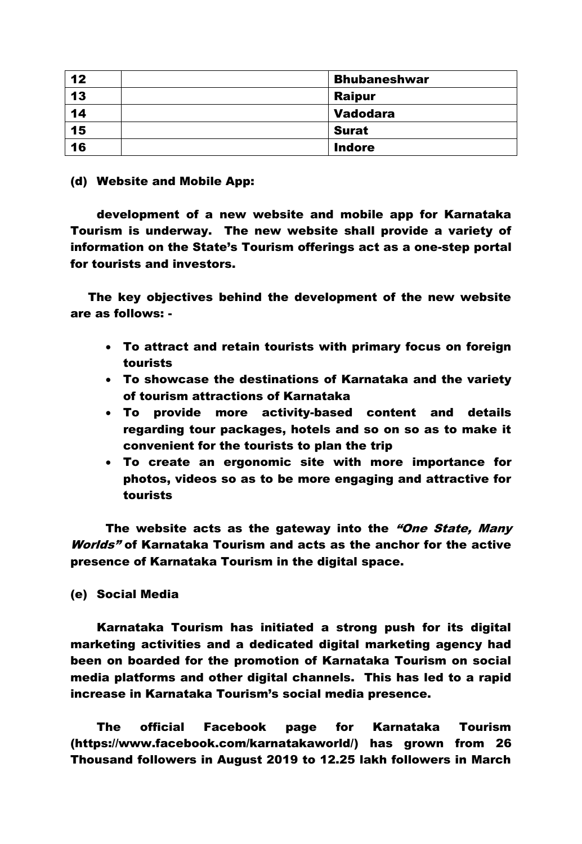| 12 | <b>Bhubaneshwar</b> |
|----|---------------------|
| 13 | <b>Raipur</b>       |
| 14 | <b>Vadodara</b>     |
| 15 | <b>Surat</b>        |
| 16 | <b>Indore</b>       |

# (d) Website and Mobile App:

development of a new website and mobile app for Karnataka Tourism is underway. The new website shall provide a variety of information on the State's Tourism offerings act as a one-step portal for tourists and investors.

The key objectives behind the development of the new website are as follows: -

- To attract and retain tourists with primary focus on foreign tourists
- To showcase the destinations of Karnataka and the variety of tourism attractions of Karnataka
- To provide more activity-based content and details regarding tour packages, hotels and so on so as to make it convenient for the tourists to plan the trip
- To create an ergonomic site with more importance for photos, videos so as to be more engaging and attractive for tourists

The website acts as the gateway into the "One State, Many" Worlds" of Karnataka Tourism and acts as the anchor for the active presence of Karnataka Tourism in the digital space.

# (e) Social Media

Karnataka Tourism has initiated a strong push for its digital marketing activities and a dedicated digital marketing agency had been on boarded for the promotion of Karnataka Tourism on social media platforms and other digital channels. This has led to a rapid increase in Karnataka Tourism's social media presence.

The official Facebook page for Karnataka Tourism [\(https://www.facebook.com/karnatakaworld/\)](https://www.facebook.com/karnatakaworld/) has grown from 26 Thousand followers in August 2019 to 12.25 lakh followers in March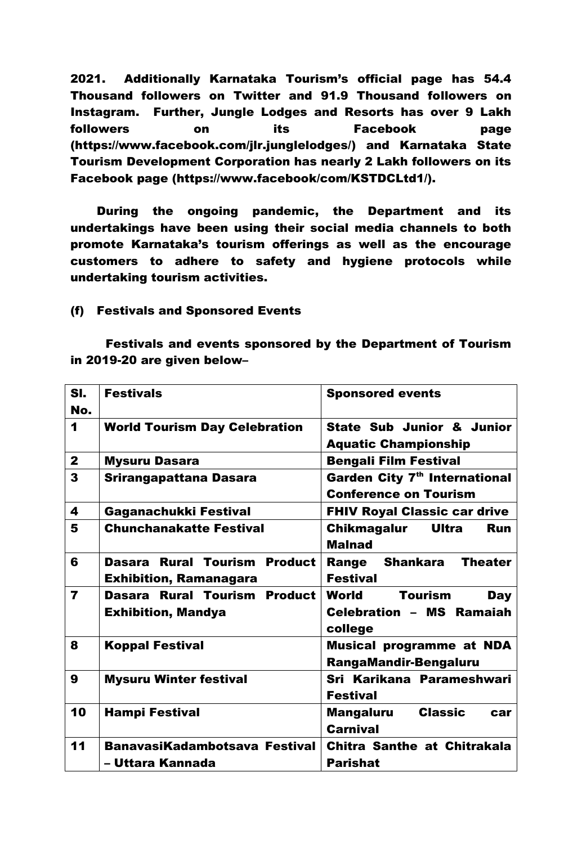2021. Additionally Karnataka Tourism's official page has 54.4 Thousand followers on Twitter and 91.9 Thousand followers on Instagram. Further, Jungle Lodges and Resorts has over 9 Lakh followers on its Facebook page [\(https://www.facebook.com/jlr.junglelodges/\)](https://www.facebook.com/jlr.junglelodges/) and Karnataka State Tourism Development Corporation has nearly 2 Lakh followers on its Facebook page (https://www.facebook/com/KSTDCLtd1/).

During the ongoing pandemic, the Department and its undertakings have been using their social media channels to both promote Karnataka's tourism offerings as well as the encourage customers to adhere to safety and hygiene protocols while undertaking tourism activities.

## (f) Festivals and Sponsored Events

Festivals and events sponsored by the Department of Tourism in 2019-20 are given below–

| SI.<br>No.              | <b>Festivals</b>                                              | <b>Sponsored events</b>                                                             |
|-------------------------|---------------------------------------------------------------|-------------------------------------------------------------------------------------|
| $\blacktriangleleft$    | <b>World Tourism Day Celebration</b>                          | State Sub Junior & Junior<br><b>Aquatic Championship</b>                            |
| $\mathbf{2}$            | <b>Mysuru Dasara</b>                                          | <b>Bengali Film Festival</b>                                                        |
| 3                       | Srirangapattana Dasara                                        | Garden City 7 <sup>th</sup> International<br><b>Conference on Tourism</b>           |
| 4                       | Gaganachukki Festival                                         | <b>FHIV Royal Classic car drive</b>                                                 |
| 5                       | <b>Chunchanakatte Festival</b>                                | Chikmagalur<br>Ultra<br><b>Run</b><br><b>Malnad</b>                                 |
| 6                       | Dasara Rural Tourism Product<br><b>Exhibition, Ramanagara</b> | <b>Theater</b><br>Range Shankara<br><b>Festival</b>                                 |
| $\overline{\mathbf{z}}$ | Dasara Rural Tourism Product<br><b>Exhibition, Mandya</b>     | World<br><b>Tourism</b><br><b>Day</b><br><b>Celebration - MS Ramaiah</b><br>college |
| 8                       | <b>Koppal Festival</b>                                        | <b>Musical programme at NDA</b><br><b>RangaMandir-Bengaluru</b>                     |
| 9                       | <b>Mysuru Winter festival</b>                                 | Sri Karikana Parameshwari<br><b>Festival</b>                                        |
| 10                      | <b>Hampi Festival</b>                                         | <b>Mangaluru Classic</b><br>car<br><b>Carnival</b>                                  |
| 11                      | BanavasiKadambotsava Festival<br>– Uttara Kannada             | Chitra Santhe at Chitrakala<br><b>Parishat</b>                                      |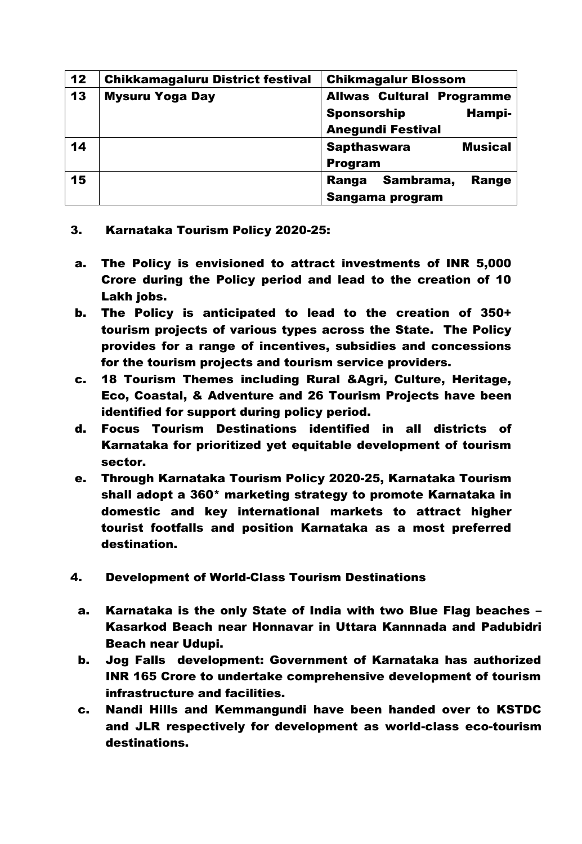| 12 | <b>Chikkamagaluru District festival</b> | <b>Chikmagalur Blossom</b>                                                                   |
|----|-----------------------------------------|----------------------------------------------------------------------------------------------|
| 13 | <b>Mysuru Yoga Day</b>                  | <b>Allwas Cultural Programme</b><br><b>Sponsorship</b><br>Hampi-<br><b>Anegundi Festival</b> |
| 14 |                                         | <b>Musical</b><br><b>Sapthaswara</b><br><b>Program</b>                                       |
| 15 |                                         | Sambrama,<br><b>Range</b><br>Ranga<br>Sangama program                                        |

# 3. Karnataka Tourism Policy 2020-25:

- a. The Policy is envisioned to attract investments of INR 5,000 Crore during the Policy period and lead to the creation of 10 Lakh jobs.
- b. The Policy is anticipated to lead to the creation of 350+ tourism projects of various types across the State. The Policy provides for a range of incentives, subsidies and concessions for the tourism projects and tourism service providers.
- c. 18 Tourism Themes including Rural &Agri, Culture, Heritage, Eco, Coastal, & Adventure and 26 Tourism Projects have been identified for support during policy period.
- d. Focus Tourism Destinations identified in all districts of Karnataka for prioritized yet equitable development of tourism sector.
- e. Through Karnataka Tourism Policy 2020-25, Karnataka Tourism shall adopt a 360\* marketing strategy to promote Karnataka in domestic and key international markets to attract higher tourist footfalls and position Karnataka as a most preferred destination.
- 4. Development of World-Class Tourism Destinations
	- a. Karnataka is the only State of India with two Blue Flag beaches Kasarkod Beach near Honnavar in Uttara Kannnada and Padubidri Beach near Udupi.
	- b. Jog Falls development: Government of Karnataka has authorized INR 165 Crore to undertake comprehensive development of tourism infrastructure and facilities.
	- c. Nandi Hills and Kemmangundi have been handed over to KSTDC and JLR respectively for development as world-class eco-tourism destinations.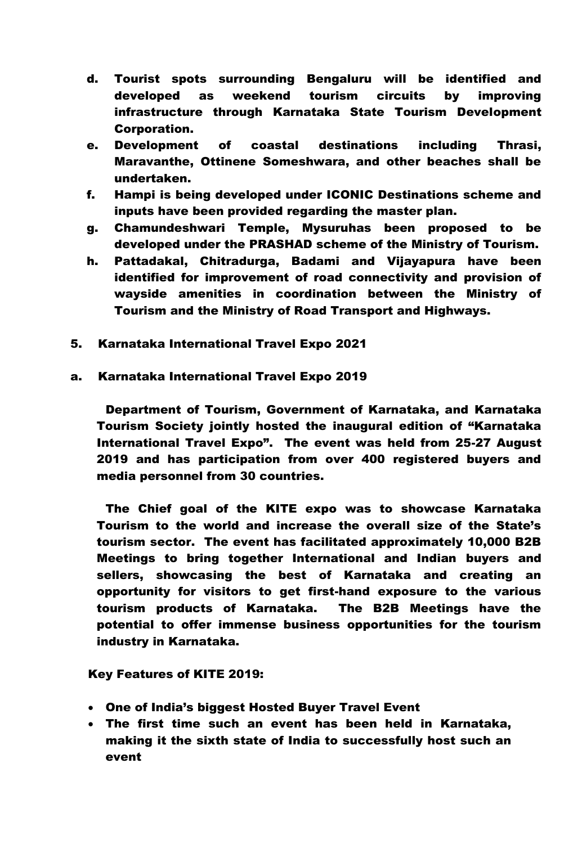- d. Tourist spots surrounding Bengaluru will be identified and developed as weekend tourism circuits by improving infrastructure through Karnataka State Tourism Development Corporation.
- e. Development of coastal destinations including Thrasi, Maravanthe, Ottinene Someshwara, and other beaches shall be undertaken.
- f. Hampi is being developed under ICONIC Destinations scheme and inputs have been provided regarding the master plan.
- g. Chamundeshwari Temple, Mysuruhas been proposed to be developed under the PRASHAD scheme of the Ministry of Tourism.
- h. Pattadakal, Chitradurga, Badami and Vijayapura have been identified for improvement of road connectivity and provision of wayside amenities in coordination between the Ministry of Tourism and the Ministry of Road Transport and Highways.
- 5. Karnataka International Travel Expo 2021

## a. Karnataka International Travel Expo 2019

Department of Tourism, Government of Karnataka, and Karnataka Tourism Society jointly hosted the inaugural edition of "Karnataka International Travel Expo". The event was held from 25-27 August 2019 and has participation from over 400 registered buyers and media personnel from 30 countries.

The Chief goal of the KITE expo was to showcase Karnataka Tourism to the world and increase the overall size of the State's tourism sector. The event has facilitated approximately 10,000 B2B Meetings to bring together International and Indian buyers and sellers, showcasing the best of Karnataka and creating an opportunity for visitors to get first-hand exposure to the various tourism products of Karnataka. The B2B Meetings have the potential to offer immense business opportunities for the tourism industry in Karnataka.

## Key Features of KITE 2019:

- One of India's biggest Hosted Buyer Travel Event
- The first time such an event has been held in Karnataka, making it the sixth state of India to successfully host such an event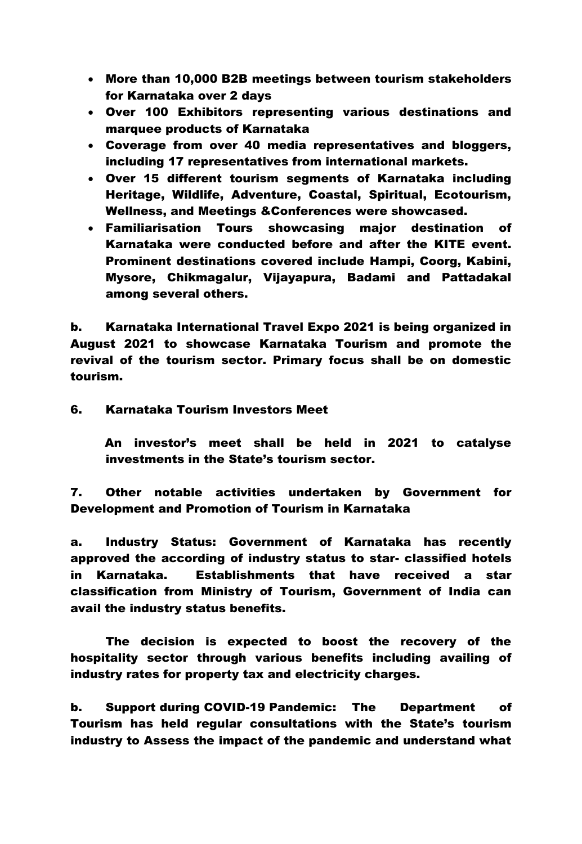- More than 10,000 B2B meetings between tourism stakeholders for Karnataka over 2 days
- Over 100 Exhibitors representing various destinations and marquee products of Karnataka
- Coverage from over 40 media representatives and bloggers, including 17 representatives from international markets.
- Over 15 different tourism segments of Karnataka including Heritage, Wildlife, Adventure, Coastal, Spiritual, Ecotourism, Wellness, and Meetings &Conferences were showcased.
- Familiarisation Tours showcasing major destination of Karnataka were conducted before and after the KITE event. Prominent destinations covered include Hampi, Coorg, Kabini, Mysore, Chikmagalur, Vijayapura, Badami and Pattadakal among several others.

b. Karnataka International Travel Expo 2021 is being organized in August 2021 to showcase Karnataka Tourism and promote the revival of the tourism sector. Primary focus shall be on domestic tourism.

6. Karnataka Tourism Investors Meet

An investor's meet shall be held in 2021 to catalyse investments in the State's tourism sector.

7. Other notable activities undertaken by Government for Development and Promotion of Tourism in Karnataka

a. Industry Status: Government of Karnataka has recently approved the according of industry status to star- classified hotels in Karnataka. Establishments that have received a star classification from Ministry of Tourism, Government of India can avail the industry status benefits.

The decision is expected to boost the recovery of the hospitality sector through various benefits including availing of industry rates for property tax and electricity charges.

b. Support during COVID-19 Pandemic: The Department of Tourism has held regular consultations with the State's tourism industry to Assess the impact of the pandemic and understand what